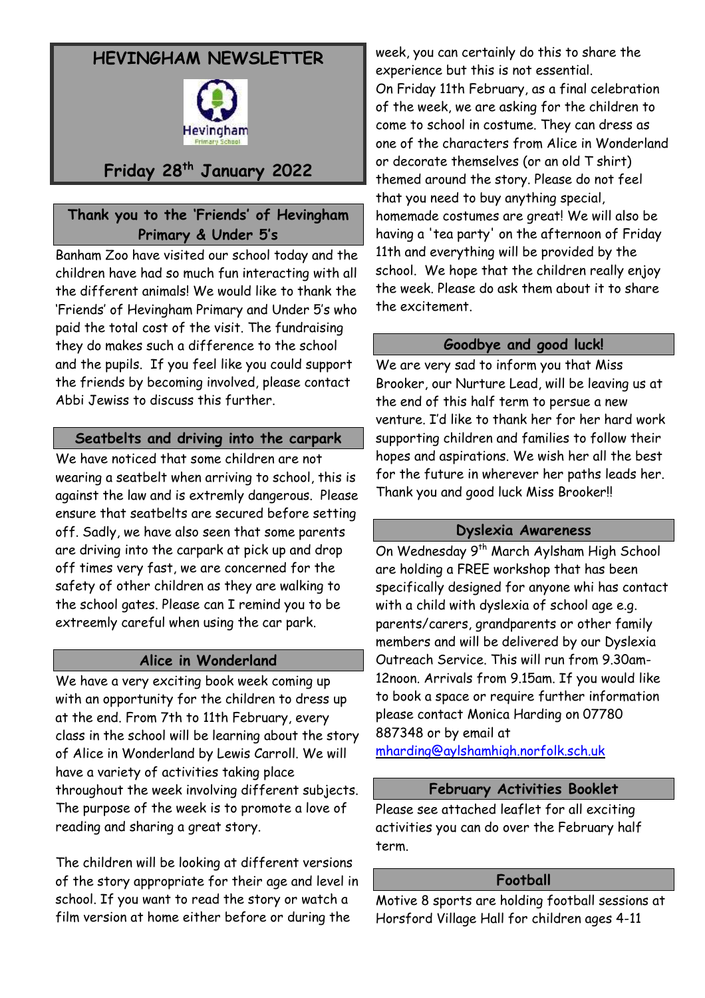# **HEVINGHAM NEWSLETTER**



# **Friday 28th January 2022**

## **Thank you to the 'Friends' of Hevingham Primary & Under 5's**

Banham Zoo have visited our school today and the children have had so much fun interacting with all the different animals! We would like to thank the 'Friends' of Hevingham Primary and Under 5's who paid the total cost of the visit. The fundraising they do makes such a difference to the school and the pupils. If you feel like you could support the friends by becoming involved, please contact Abbi Jewiss to discuss this further.

#### **Seatbelts and driving into the carpark**

We have noticed that some children are not wearing a seatbelt when arriving to school, this is against the law and is extremly dangerous. Please ensure that seatbelts are secured before setting off. Sadly, we have also seen that some parents are driving into the carpark at pick up and drop off times very fast, we are concerned for the safety of other children as they are walking to the school gates. Please can I remind you to be extreemly careful when using the car park.

#### **Alice in Wonderland**

We have a very exciting book week coming up with an opportunity for the children to dress up at the end. From 7th to 11th February, every class in the school will be learning about the story of Alice in Wonderland by Lewis Carroll. We will have a variety of activities taking place throughout the week involving different subjects. The purpose of the week is to promote a love of reading and sharing a great story.

The children will be looking at different versions of the story appropriate for their age and level in school. If you want to read the story or watch a film version at home either before or during the

week, you can certainly do this to share the experience but this is not essential. On Friday 11th February, as a final celebration of the week, we are asking for the children to come to school in costume. They can dress as one of the characters from Alice in Wonderland or decorate themselves (or an old T shirt) themed around the story. Please do not feel that you need to buy anything special, homemade costumes are great! We will also be having a 'tea party' on the afternoon of Friday 11th and everything will be provided by the school. We hope that the children really enjoy the week. Please do ask them about it to share the excitement.

#### **Goodbye and good luck!**

We are very sad to inform you that Miss Brooker, our Nurture Lead, will be leaving us at the end of this half term to persue a new venture. I'd like to thank her for her hard work supporting children and families to follow their hopes and aspirations. We wish her all the best for the future in wherever her paths leads her. Thank you and good luck Miss Brooker!!

#### **Dyslexia Awareness**

On Wednesday 9<sup>th</sup> March Aylsham High School are holding a FREE workshop that has been specifically designed for anyone whi has contact with a child with dyslexia of school age e.g. parents/carers, grandparents or other family members and will be delivered by our Dyslexia Outreach Service. This will run from 9.30am-12noon. Arrivals from 9.15am. If you would like to book a space or require further information please contact Monica Harding on 07780 887348 or by email at

[mharding@aylshamhigh.norfolk.sch.uk](mailto:mharding@aylshamhigh.norfolk.sch.uk) 

## **February Activities Booklet**

Please see attached leaflet for all exciting activities you can do over the February half term.

#### **Football**

Motive 8 sports are holding football sessions at Horsford Village Hall for children ages 4-11